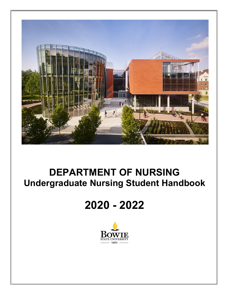

## **DEPARTMENT OF NURSING Undergraduate Nursing Student Handbook**

# **2020 - 2022**

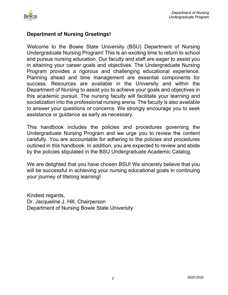

## **Department of Nursing Greetings!**

Welcome to the Bowie State University (BSU) Department of Nursing Undergraduate Nursing Program! This is an exciting time to return to school and pursue nursing education. Our faculty and staff are eager to assist you in attaining your career goals and objectives. The Undergraduate Nursing Program provides a rigorous and challenging educational experience. Planning ahead and time management are essential components for success. Resources are available in the University and within the Department of Nursing to assist you to achieve your goals and objectives in this academic pursuit. The nursing faculty will facilitate your learning and socialization into the professional nursing arena. The faculty is also available to answer your questions or concerns. We strongly encourage you to seek assistance or guidance as early as necessary.

This handbook includes the policies and procedures governing the Undergraduate Nursing Program and we urge you to review the content carefully. You are accountable for adhering to the policies and procedures outlined in this handbook. In addition, you are expected to review and abide by the policies stipulated in the BSU Undergraduate Academic Catalog.

We are delighted that you have chosen BSU! We sincerely believe that you will be successful in achieving your nursing educational goals in continuing your journey of lifelong learning!

Kindest regards, Dr. Jacqueline J. Hill, Chairperson Department of Nursing Bowie State University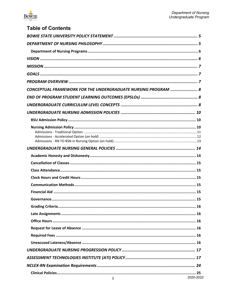

## **Table of Contents**

| CONCEPTUAL FRAMEWORK FOR THE UNDERGRADUATE NURSING PROGRAM  8 |           |
|---------------------------------------------------------------|-----------|
|                                                               |           |
|                                                               |           |
|                                                               |           |
|                                                               |           |
|                                                               |           |
|                                                               |           |
|                                                               |           |
|                                                               |           |
|                                                               |           |
|                                                               |           |
|                                                               |           |
|                                                               |           |
|                                                               |           |
|                                                               |           |
|                                                               |           |
|                                                               |           |
|                                                               |           |
|                                                               |           |
|                                                               |           |
|                                                               |           |
|                                                               |           |
|                                                               |           |
| 3                                                             | 2020-2022 |
|                                                               |           |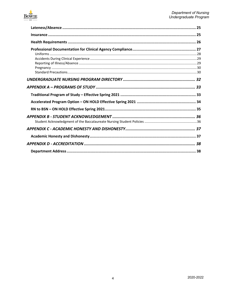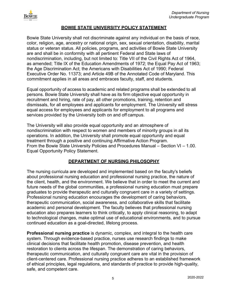

#### **BOWIE STATE UNIVERSITY POLICY STATEMENT**

<span id="page-4-0"></span>Bowie State University shall not discriminate against any individual on the basis of race, color, religion, age, ancestry or national origin, sex, sexual orientation, disability, marital status or veteran status. All policies, programs, and activities of Bowie State University are and shall be in conformity with all pertinent Federal and State laws of nondiscrimination, including, but not limited to: Title VII of the Civil Rights Act of 1964, as amended; Title IX of the Education Amendments of 1972; the Equal Pay Act of 1963; the Age Discrimination Act; the Americans with Disabilities Act of 1990; Federal Executive Order No. 11373; and Article 49B of the Annotated Code of Maryland. This commitment applies in all areas and embraces faculty, staff, and students.

Equal opportunity of access to academic and related programs shall be extended to all persons. Bowie State University shall have as its firm objective equal opportunity in recruitment and hiring, rate of pay, all other promotions, training, retention and dismissals, for all employees and applicants for employment. The University will stress equal access for employees and applicants for employment to all programs and services provided by the University both on and off campus.

The University will also provide equal opportunity and an atmosphere of nondiscrimination with respect to women and members of minority groups in all its operations. In addition, the University shall promote equal opportunity and equal treatment through a positive and continuing Affirmative Action Program. From the Bowie State University Policies and Procedures Manual – Section VI – 1.00. Equal Opportunity Policy Statement.

## **DEPARTMENT OF NURSING PHILOSOPHY**

<span id="page-4-1"></span>The nursing curricula are developed and implemented based on the faculty's beliefs about professional nursing education and professional nursing practice, the nature of the client, health, and the environment. We believe that in order to meet the current and future needs of the global communities, a professional nursing education must prepare graduates to provide therapeutic and culturally congruent care in a variety of settings. Professional nursing education encourages the development of caring behaviors, therapeutic communication, social awareness, and collaborative skills that facilitate academic and personal development. The faculty believes that professional nursing education also prepares learners to think critically, to apply clinical reasoning, to adapt to technological changes, make optimal use of educational environments, and to pursue continued education as a goal-directed, lifelong process.

**Professional nursing practice** is dynamic, complex, and integral to the health care system. Through evidence-based practice, nurses use research findings to make clinical decisions that facilitate health promotion, disease prevention, and health restoration to clients across the lifespan. The demonstration of caring behaviors, therapeutic communication, and culturally congruent care are vital in the provision of client-centered care. Professional nursing practice adheres to an established framework of ethical principles, legal regulations, and standards of practice to provide high-quality, safe, and competent care.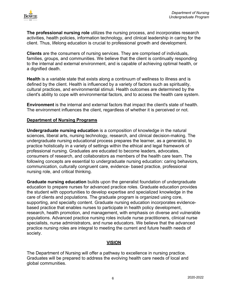

**The professional nursing role** utilizes the nursing process, and incorporates research activities, health policies, information technology, and clinical leadership in caring for the client. Thus, lifelong education is crucial to professional growth and development.

**Clients** are the consumers of nursing services. They are comprised of individuals, families, groups, and communities. We believe that the client is continually responding to the internal and external environment, and is capable of achieving optimal health, or a dignified death.

**Health** is a variable state that exists along a continuum of wellness to illness and is defined by the client. Health is influenced by a variety of factors such as spirituality, cultural practices, and environmental stimuli. Health outcomes are determined by the client's ability to cope with environmental factors, and to access the health care system.

**Environment** is the internal and external factors that impact the client's state of health. The environment influences the client, regardless of whether it is perceived or not.

#### <span id="page-5-0"></span>**Department of Nursing Programs**

**Undergraduate nursing education** is a composition of knowledge in the natural sciences, liberal arts, nursing technology, research, and clinical decision-making. The undergraduate nursing educational process prepares the learner, as a generalist, to practice holistically in a variety of settings within the ethical and legal framework of professional nursing. Graduates are educated to become leaders, advocates, consumers of research, and collaborators as members of the health care team. The following concepts are essential to undergraduate nursing education: caring behaviors, communication, culturally congruent care, evidence- based practice, professional nursing role, and critical thinking.

**Graduate nursing education** builds upon the generalist foundation of undergraduate education to prepare nurses for advanced practice roles. Graduate education provides the student with opportunities to develop expertise and specialized knowledge in the care of clients and populations. The graduate program is organized using core, supporting, and specialty content. Graduate nursing education incorporates evidencebased practice that enables nurses to participate in health policy development, research, health promotion, and management, with emphasis on diverse and vulnerable populations. Advanced practice nursing roles include nurse practitioners, clinical nurse specialists, nurse administrators, and nurse educators. We believe that the advanced practice nursing roles are integral to meeting the current and future health needs of society.

## **VISION**

<span id="page-5-1"></span>The Department of Nursing will offer a pathway to excellence in nursing practice. Graduates will be prepared to address the evolving health care needs of local and global communities.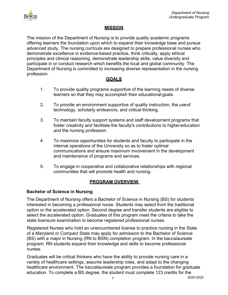

#### **MISSION**

<span id="page-6-0"></span>The mission of the Department of Nursing is to provide quality academic programs offering learners the foundation upon which to expand their knowledge base and pursue advanced study. The nursing curricula are designed to prepare professional nurses who demonstrate excellence in evidence-based practice, think critically, apply ethical principles and clinical reasoning, demonstrate leadership skills, value diversity and participate in or conduct research which benefits the local and global community. The Department of Nursing is committed to increasing diverse representation in the nursing profession.

## **GOALS**

- <span id="page-6-1"></span>1. To provide quality programs supportive of the learning needs of diverse learners so that they may accomplish their educational goals.
- 2. To provide an environment supportive of quality instruction, the useof technology, scholarly endeavors, and critical thinking.
- 3. To maintain faculty support systems and staff development programs that foster creativity and facilitate the faculty's contributions to higher education and the nursing profession.
- 4. To maximize opportunities for students and faculty to participate in the internal operations of the University so as to foster optimal communications and ensure maximum involvement in the development and maintenance of programs and services.
- 5. To engage in cooperative and collaborative relationships with regional communities that will promote health and nursing.

## **PROGRAM OVERVIEW**

## <span id="page-6-2"></span>**Bachelor of Science in Nursing**

The Department of Nursing offers a Bachelor of Science in Nursing (BS) for students interested in becoming a professional nurse. Students may select from the traditional option or the accelerated option. Second degree and transfer students are eligible to select the accelerated option. Graduates of this program meet the criteria to take the state licensure examination to become registered professional nurses.

Registered Nurses who hold an unencumbered license to practice nursing in the State of a Maryland or Compact State may apply for admission to the Bachelor of Science (BS) with a major in Nursing (RN to BSN) completion program. In the baccalaureate program, RN students expand their knowledge and skills to become professional nurses.

Graduates will be critical thinkers who have the ability to provide nursing care in a variety of healthcare settings, assume leadership roles, and adapt to the changing healthcare environment. The baccalaureate program provides a foundation for graduate education. To complete a BS degree, the student must complete 123 credits for the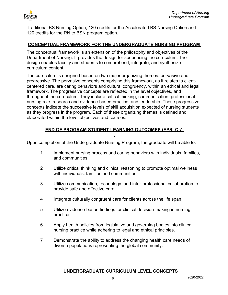

Traditional BS Nursing Option, 120 credits for the Accelerated BS Nursing Option and 120 credits for the RN to BSN program option.

## <span id="page-7-0"></span>**CONCEPTUAL FRAMEWORK FOR THE UNDERGRADUATE NURSING PROGRAM**

The conceptual framework is an extension of the philosophy and objectives of the Department of Nursing. It provides the design for sequencing the curriculum. The design enables faculty and students to comprehend, integrate, and synthesize curriculum content.

The curriculum is designed based on two major organizing themes: pervasive and progressive. The pervasive concepts comprising this framework, as it relates to clientcentered care, are caring behaviors and cultural congruency, within an ethical and legal framework. The progressive concepts are reflected in the level objectives, and throughout the curriculum. They include critical thinking, communication, professional nursing role, research and evidence-based practice, and leadership. These progressive concepts indicate the successive levels of skill acquisition expected of nursing students as they progress in the program. Each of these organizing themes is defined and elaborated within the level objectives and courses.

## **END OF PROGRAM STUDENT LEARNING OUTCOMES (EPSLOs)**

<span id="page-7-1"></span>Upon completion of the Undergraduate Nursing Program, the graduate will be able to:

- 1. Implement nursing process and caring behaviors with individuals, families, and communities.
- 2. Utilize critical thinking and clinical reasoning to promote optimal wellness with individuals, families and communities.
- 3. Utilize communication, technology, and inter-professional collaboration to provide safe and effective care.
- 4. Integrate culturally congruent care for clients across the life span.
- 5. Utilize evidence-based findings for clinical decision-making in nursing practice.
- 6. Apply health policies from legislative and governing bodies into clinical nursing practice while adhering to legal and ethical principles.
- <span id="page-7-2"></span>7. Demonstrate the ability to address the changing health care needs of diverse populations representing the global community.

## **UNDERGRADUATE CURRICULUM LEVEL CONCEPTS**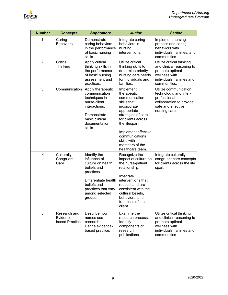

| <b>Number</b>  | <b>Concepts</b>                             | <b>Sophomore</b>                                                                                                                                                          | <b>Junior</b>                                                                                                                                                                                                                                     | <b>Senior</b>                                                                                                                           |
|----------------|---------------------------------------------|---------------------------------------------------------------------------------------------------------------------------------------------------------------------------|---------------------------------------------------------------------------------------------------------------------------------------------------------------------------------------------------------------------------------------------------|-----------------------------------------------------------------------------------------------------------------------------------------|
| 1              | Caring<br><b>Behaviors</b>                  | Demonstrate<br>caring behaviors<br>in the performance<br>of basic nursing<br>skills.                                                                                      | Integrate caring<br>behaviors in<br>nursing<br>interventions.                                                                                                                                                                                     | Implement nursing<br>process and caring<br>behaviors with<br>individuals, families, and<br>communities.                                 |
| $\overline{2}$ | Critical<br>Thinking                        | Apply critical<br>thinking skills in<br>the performance<br>of basic nursing<br>assessment and<br>practices.                                                               | Utilize critical<br>thinking skills to<br>determine priority<br>nursing care needs<br>for individuals and<br>families.                                                                                                                            | Utilize critical thinking<br>and clinical reasoning to<br>promote optimal<br>wellness with<br>individuals, families and<br>communities. |
| 3              | Communication                               | Apply therapeutic<br>communication<br>techniques in<br>nurse-client<br>interactions.<br>Demonstrate<br>basic clinical<br>documentation<br>skills.                         | Implement<br>therapeutic<br>communication<br>skills that<br>incorporate<br>appropriate<br>strategies of care<br>for clients across<br>the lifespan.<br>Implement effective<br>communications<br>skills with<br>members of the<br>healthcare team. | Utilize communication,<br>technology, and inter-<br>professional<br>collaboration to provide<br>safe and effective<br>nursing care.     |
| 4              | Culturally<br>Congruent<br>Care             | Identify the<br>influence of<br>culture on health<br>beliefs and<br>practices.<br>Differentiate health<br>beliefs and<br>practices that vary<br>among selected<br>groups. | Recognize the<br>impact of culture on<br>the nurse-patient<br>relationship.<br>Integrate<br>interventions that<br>respect and are<br>consistent with the<br>cultural beliefs,<br>behaviors, and<br>traditions of the<br>client.                   | Integrate culturally<br>congruent care concepts<br>for clients across the life<br>span.                                                 |
| 5              | Research and<br>Evidence-<br>based Practice | Describe how<br>nurses use<br>research.<br>Define evidence-<br>based practice.                                                                                            | Examine the<br>research process.<br>Identify<br>components of<br>research<br>publications.                                                                                                                                                        | Utilize critical thinking<br>and clinical reasoning to<br>promote optimal<br>wellness with<br>individuals, families and<br>communities  |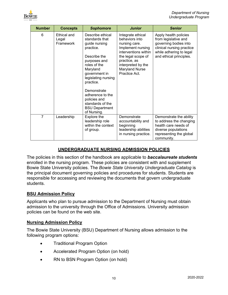

| <b>Number</b>  | <b>Concepts</b>                   | <b>Sophomore</b>                                                                                                                                                                                                                                                                                 | <b>Junior</b>                                                                                                                                                                                           | <b>Senior</b>                                                                                                                                             |
|----------------|-----------------------------------|--------------------------------------------------------------------------------------------------------------------------------------------------------------------------------------------------------------------------------------------------------------------------------------------------|---------------------------------------------------------------------------------------------------------------------------------------------------------------------------------------------------------|-----------------------------------------------------------------------------------------------------------------------------------------------------------|
| 6              | Ethical and<br>Legal<br>Framework | Describe ethical<br>standards that<br>guide nursing<br>practice.<br>Describe the<br>purposes and<br>roles of the<br>Maryland<br>government in<br>legislating nursing<br>practice.<br>Demonstrate<br>adherence to the<br>policies and<br>standards of the<br><b>BSU Department</b><br>of Nursing. | Integrate ethical<br>behaviors into<br>nursing care.<br>Implement nursing<br>interventions within<br>the legal scope of<br>practice, as<br>interpreted by the<br><b>Maryland Nurse</b><br>Practice Act. | Apply health policies<br>from legislative and<br>governing bodies into<br>clinical nursing practice<br>while adhering to legal<br>and ethical principles. |
| $\overline{7}$ | Leadership                        | Explore the<br>leadership role<br>within the context<br>of group.                                                                                                                                                                                                                                | Demonstrate<br>accountability and<br>beginning<br>leadership abilities<br>in nursing practice.                                                                                                          | Demonstrate the ability<br>to address the changing<br>health care needs of<br>diverse populations<br>representing the global<br>community.                |

## **UNDERGRADUATE NURSING ADMISSION POLICIES**

<span id="page-9-0"></span>The policies in this section of the handbook are applicable to *baccalaureate students*  enrolled in the nursing program. These policies are consistent with and supplement Bowie State University policies. The *Bowie State University Undergraduate Catalog* is the principal document governing policies and procedures for students. Students are responsible for accessing and reviewing the documents that govern undergraduate students.

## <span id="page-9-1"></span>**BSU Admission Policy**

Applicants who plan to pursue admission to the Department of Nursing must obtain admission to the university through the Office of Admissions. University admission policies can be found on the web site.

## <span id="page-9-2"></span>**Nursing Admission Policy**

The Bowie State University (BSU) Department of Nursing allows admission to the following program options:

- Traditional Program Option
- Accelerated Program Option (on hold)
- RN to BSN Program Option (on hold)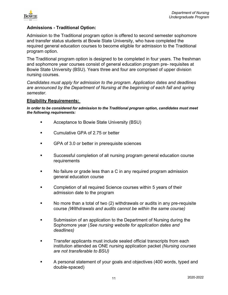

## <span id="page-10-0"></span>**Admissions - Traditional Option:**

Admission to the Traditional program option is offered to second semester sophomore and transfer status students at Bowie State University, who have completed the required general education courses to become eligible for admission to the Traditional program option.

The Traditional program option is designed to be completed in four years. The freshman and sophomore year courses consist of general education program pre- requisites at Bowie State University (BSU). Years three and four are comprised of upper division nursing courses.

*Candidates must apply for admission to the program. Application dates and deadlines are announced by the Department of Nursing at the beginning of each fall and spring semester.* 

#### **Eligibility Requirements:**

*In order to be considered for admission to the Traditional program option, candidates must meet the following requirements:* 

- **EXECUTE:** Acceptance to Bowie State University (BSU)
- **EXECUMULATA:** Cumulative GPA of 2.75 or better
- GPA of 3.0 or better in prerequisite sciences
- Successful completion of all nursing program general education course requirements
- No failure or grade less than a C in any required program admission general education course
- Completion of all required Science courses within 5 years of their admission date to the program
- No more than a total of two (2) withdrawals or audits in any pre-requisite course *(Withdrawals and audits cannot be within the same course)*
- Submission of an application to the Department of Nursing during the Sophomore year (*See nursing website for application dates and deadlines)*
- Transfer applicants must include sealed official transcripts from each institution attended as ONE nursing application packet *(Nursing courses are not transferable to BSU)*
- A personal statement of your goals and objectives (400 words, typed and double-spaced)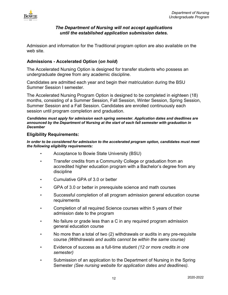

## *The Department of Nursing will not accept applications until the established application submission dates.*

Admission and information for the Traditional program option are also available on the web site.

## <span id="page-11-0"></span>**Admissions - Accelerated Option (***on hold***)**

The Accelerated Nursing Option is designed for transfer students who possess an undergraduate degree from any academic discipline.

Candidates are admitted each year and begin their matriculation during the BSU Summer Session I semester.

The Accelerated Nursing Program Option is designed to be completed in eighteen (18) months, consisting of a Summer Session, Fall Session, Winter Session, Spring Session, Summer Session and a Fall Session. Candidates are enrolled continuously each session until program completion and graduation.

*Candidates must apply for admission each spring semester. Application dates and deadlines are announced by the Department of Nursing at the start of each fall semester with graduation in December* 

#### **Eligibility Requirements:**

*In order to be considered for admission to the accelerated program option, candidates must meet the following eligibility requirements:*

- Acceptance to Bowie State University (BSU)
- Transfer credits from a Community College or graduation from an accredited higher education program with a Bachelor's degree from any discipline
- Cumulative GPA of 3.0 or better
- GPA of 3.0 or better in prerequisite science and math courses
- Successful completion of all program admission general education course requirements
- Completion of all required Science courses within 5 years of their admission date to the program
- No failure or grade less than a C in any required program admission general education course
- No more than a total of two (2) withdrawals or audits in any pre-requisite course *(Withdrawals and audits cannot be within the same course)*
- Evidence of success as a full-time student *(12 or more credits in one semester)*
- Submission of an application to the Department of Nursing in the Spring Semester *(See nursing website for application dates and deadlines).*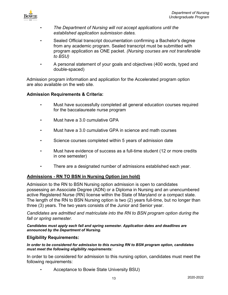

- *The Department of Nursing will not accept applications until the established application submission dates.*
- Sealed Official transcript documentation confirming a Bachelor's degree from any academic program. Sealed transcript must be submitted with program application as ONE packet. *(Nursing courses are not transferable to BSU)*
- A personal statement of your goals and objectives (400 words, typed and double-spaced)

Admission program information and application for the Accelerated program option are also available on the web site.

## **Admission Requirements & Criteria:**

- Must have successfully completed all general education courses required for the baccalaureate nurse program
- Must have a 3.0 cumulative GPA
- Must have a 3.0 cumulative GPA in science and math courses
- Science courses completed within 5 years of admission date
- Must have evidence of success as a full-time student (12 or more credits in one semester)
- There are a designated number of admissions established each year.

## <span id="page-12-0"></span>**Admissions - RN TO BSN in Nursing Option (on hold)**

Admission to the RN to BSN Nursing option admission is open to candidates possessing an Associate Degree (ADN) or a Diploma in Nursing and an unencumbered active Registered Nurse (RN) license within the State of Maryland or a compact state. The length of the RN to BSN Nursing option is two (2) years full-time, but no longer than three (3) years. The two years consists of the Junior and Senior year.

*Candidates are admitted and matriculate into the RN to BSN program option during the fall or spring semester.* 

*Candidates must apply each fall and spring semester. Application dates and deadlines are announced by the Department of Nursing.*

## **Eligibility Requirements:**

*In order to be considered for admission to this nursing RN to BSN program option, candidates must meet the following eligibility requirements:* 

In order to be considered for admission to this nursing option, candidates must meet the following requirements:

• Acceptance to Bowie State University BSU)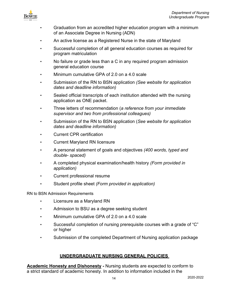

- Graduation from an accredited higher education program with a minimum of an Associate Degree in Nursing (ADN)
- An active license as a Registered Nurse in the state of Maryland
- Successful completion of all general education courses as required for program matriculation
- No failure or grade less than a C in any required program admission general education course
- Minimum cumulative GPA of 2.0 on a 4.0 scale
- Submission of the RN to BSN application *(See website for application dates and deadline information)*
- Sealed official transcripts of each institution attended with the nursing application as ONE packet.
- Three letters of recommendation (*a reference from your immediate supervisor and two from professional colleagues)*
- Submission of the RN to BSN application (*See website for application dates and deadline information)*
- Current CPR certification
- Current Maryland RN licensure
- A personal statement of goals and objectives *(400 words, typed and double- spaced)*
- A completed physical examination/health history *(Form provided in application)*
- Current professional resume
- Student profile sheet *(Form provided in application)*

RN to BSN Admission Requirements

- Licensure as a Maryland RN
- Admission to BSU as a degree seeking student
- Minimum cumulative GPA of 2.0 on a 4.0 scale
- Successful completion of nursing prerequisite courses with a grade of "C" or higher
- Submission of the completed Department of Nursing application package

## **UNDERGRADUATE NURSING GENERAL POLICIES**

<span id="page-13-1"></span><span id="page-13-0"></span>**Academic Honesty and Dishonesty** *-* Nursing students are expected to conform to a strict standard of academic honesty. In addition to information included in the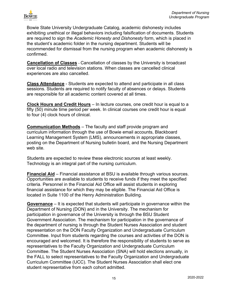

Bowie State University Undergraduate Catalog, academic dishonesty includes exhibiting unethical or illegal behaviors including falsification of documents. Students are required to sign the *Academic Honesty and Dishonesty* form, which is placed in the student's academic folder in the nursing department. Students will be recommended for dismissal from the nursing program when academic dishonesty is confirmed.

<span id="page-14-0"></span>**Cancellation of Classes** - Cancellation of classes by the University is broadcast over local radio and television stations. When classes are cancelled clinical experiences are also cancelled.

<span id="page-14-1"></span>**Class Attendance** - Students are expected to attend and participate in all class sessions. Students are required to notify faculty of absences or delays. Students are responsible for all academic content covered at all times.

<span id="page-14-2"></span>**Clock Hours and Credit Hours** – In lecture courses, one credit hour is equal to a fifty (50) minute time period per week. In clinical courses one credit hour is equal to four (4) clock hours of clinical.

<span id="page-14-3"></span>**Communication Methods** – The faculty and staff provide program and curriculum information through the use of Bowie email accounts, Blackboard Learning Management System (LMS), announcements in appropriate classes, posting on the Department of Nursing bulletin board, and the Nursing Department web site.

Students are expected to review these electronic sources at least weekly. Technology is an integral part of the nursing curriculum.

<span id="page-14-4"></span>**Financial Aid** – Financial assistance at BSU is available through various sources. Opportunities are available to students to receive funds if they meet the specified criteria. Personnel in the Financial Aid Office will assist students in exploring financial assistance for which they may be eligible. The Financial Aid Office is located in Suite 1100 of the Henry Administration Building.

<span id="page-14-5"></span>**Governance** – It is expected that students will participate in governance within the Department of Nursing (DON) and in the University. The mechanism for participation in governance of the University is through the BSU Student Government Association. The mechanism for participation in the governance of the department of nursing is through the Student Nurses Association and student representation on the DON Faculty Organization and Undergraduate Curriculum Committee. Input from students regarding the courses and activities of the DON is encouraged and welcomed. It is therefore the responsibility of students to serve as representatives to the Faculty Organization and Undergraduate Curriculum Committee. The Student Nurses Association (SNA) will hold elections annually, in the FALL to select representatives to the Faculty Organization and Undergraduate Curriculum Committee (UCC). The Student Nurses Association shall elect one student representative from each cohort admitted.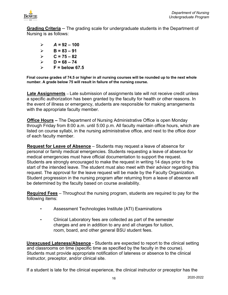

<span id="page-15-0"></span>**Grading Criteria** *–* The grading scale for undergraduate students in the Department of Nursing is as follows:

- $\triangleright$  **A** = 92 100  $\triangleright$  **B** = 83 – 91  $\triangleright$  C = 75 – 82  $\triangleright$  D = 68 – 74
- $\triangleright$  **F** = below 67.5

**Final course grades of 74.5 or higher in all nursing courses will be rounded up to the next whole number. A grade below 75 will result in failure of the nursing course.** 

<span id="page-15-1"></span>**Late Assignments** – Late submission of assignments late will not receive credit unless a specific authorization has been granted by the faculty for health or other reasons. In the event of illness or emergency, students are responsible for making arrangements with the appropriate faculty member.

<span id="page-15-2"></span>**Office Hours –** The Department of Nursing Administrative Office is open Monday through Friday from 8:00 a.m. until 5:00 p.m. All faculty maintain office hours, which are listed on course syllabi, in the nursing administrative office, and next to the office door of each faculty member.

<span id="page-15-3"></span>**Request for Leave of Absence** – Students may request a leave of absence for personal or family medical emergencies. Students requesting a leave of absence for medical emergencies must have official documentation to support the request. Students are strongly encouraged to make the request in writing 14 days prior to the start of the intended leave. The student must also meet with their advisor regarding this request. The approval for the leave request will be made by the Faculty Organization. Student progression in the nursing program after returning from a leave of absence will be determined by the faculty based on course availability.

<span id="page-15-4"></span>**Required Fees** – Throughout the nursing program, students are required to pay for the following items:

- Assessment Technologies Institute (ATI) Examinations
- Clinical Laboratory fees are collected as part of the semester charges and are in addition to any and all charges for tuition, room, board, and other general BSU student fees.

<span id="page-15-5"></span>**Unexcused Lateness/Absence** - Students are expected to report to the clinical setting and classrooms on time (specific time as specified by the faculty in the course). Students must provide appropriate notification of lateness or absence to the clinical instructor, preceptor, and/or clinical site.

If a student is late for the clinical experience, the clinical instructor or preceptor has the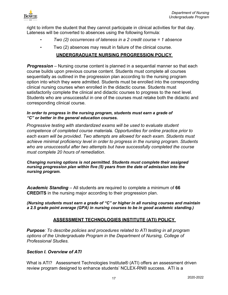

right to inform the student that they cannot participate in clinical activities for that day. Lateness will be converted to absences using the following formula:

- *Two (2) occurrences of lateness in a 2 credit course = 1 absence*
- Two (2) absences may result in failure of the clinical course.

## **UNDERGRADUATE NURSING PROGRESSION POLICY**

<span id="page-16-0"></span>*Progression* – Nursing course content is planned in a sequential manner so that each course builds upon previous course content. Students must complete all courses sequentially as outlined in the progression plan according to the nursing program option into which they were admitted. Students must be enrolled into the corresponding clinical nursing courses when enrolled in the didactic course. Students must satisfactorily complete the clinical and didactic courses to progress to the next level. Students who are unsuccessful in one of the courses must retake both the didactic and corresponding clinical course.

#### *In order to progress in the nursing program, students must earn a grade of "C" or better in the general education courses.*

*Progressive testing with standardized exams will be used to evaluate student competence of completed course materials. Opportunities for online practice prior to each exam will be provided. Two attempts are allowed for each exam. Students must achieve minimal proficiency level in order to progress in the nursing program. Students who are unsuccessful after two attempts but have successfully completed the course must complete 20 hours of remediation*.

*Changing nursing options is not permitted. Students must complete their assigned nursing progression plan within five (5) years from the date of admission into the nursing program.* 

*Academic Standing* – All students are required to complete a minimum of **66 CREDITS** in the nursing major according to their progression plan.

*(Nursing students must earn a grade of "C" or higher in all nursing courses and maintain a 2.5 grade point average (GPA) in nursing courses to be in good academic standing.)* 

## **ASSESSMENT TECHNOLOGIES INSTITUTE (ATI) POLICY**

<span id="page-16-1"></span>*Purpose: To describe policies and procedures related to ATI testing in all program options of the Undergraduate Program in the Department of Nursing, College of Professional Studies.* 

## *Section I. Overview of ATI*

What is ATI? Assessment Technologies Institute® (ATI) offers an assessment driven review program designed to enhance students' NCLEX-RN® success. ATI is a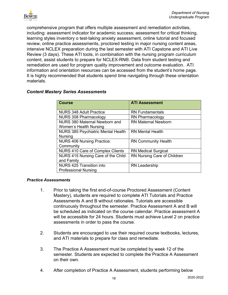

comprehensive program that offers multiple assessment and remediation activities, including: assessment indicator for academic success; assessment for critical thinking, learning styles inventory o test-taking anxiety assessment, online tutorial and focused review, online practice assessments, proctored testing in major nursing content areas, intensive NCLEX preparation during the last semester with ATI Capstone and ATI Live Review (3 days). These ATI tools, in combination with the nursing program curriculum content, assist students to prepare for NCLEX-RN®. Data from student testing and remediation are used for program quality improvement and outcome evaluation. ATI information and orientation resources can be accessed from the student's home page. It is highly recommended that students spend time navigating through these orientation materials.

| <b>Course</b>                             | <b>ATI Assessment</b>       |
|-------------------------------------------|-----------------------------|
| NURS 348 Adult Practice                   | <b>RN Fundamentals</b>      |
| <b>NURS 308 Pharmacology</b>              | <b>RN Pharmacology</b>      |
| <b>NURS 380 Maternal Newborn and</b>      | <b>RN Maternal Newborn</b>  |
| Women's Health Nursing                    |                             |
| <b>NURS 385 Psychiatric Mental Health</b> | <b>RN Mental Health</b>     |
| <b>Nursing</b>                            |                             |
| <b>NURS 406 Nursing Practice:</b>         | <b>RN Community Health</b>  |
| Community                                 |                             |
| <b>NURS 410 Care of Complex Clients</b>   | <b>RN Medical Surgical</b>  |
| NURS 415 Nursing Care of the Child        | RN Nursing Care of Children |
| and Family                                |                             |
| <b>NURS 425 Transition into</b>           | <b>RN Leadership</b>        |
| <b>Professional Nursing</b>               |                             |

## *Content Mastery Series Assessments*

#### *Practice Assessments*

- 1. Prior to taking the first end-of-course Proctored Assessment (Content Mastery), students are required to complete ATI Tutorials and Practice Assessments A and B without rationales. Tutorials are accessible continuously throughout the semester. Practice Assessment A and B will be scheduled as indicated on the course calendar. Practice assessment A will be accessible for 24 hours. Students must achieve Level 2 on practice assessments in order to pass the course.
- 2. Students are encouraged to use their required course textbooks, lectures, and ATI materials to prepare for class and remediate.
- 3. The Practice A Assessment must be completed by week 12 of the semester. Students are expected to complete the Practice A Assessment on their own.
- 4. After completion of Practice A Assessment, students performing below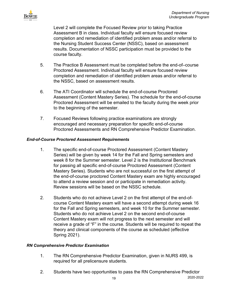

Level 2 will complete the Focused Review prior to taking Practice Assessment B in class. Individual faculty will ensure focused review completion and remediation of identified problem areas and/or referral to the Nursing Student Success Center (NSSC), based on assessment results. Documentation of NSSC participation must be provided to the course faculty.

- 5. The Practice B Assessment must be completed before the end-of–course Proctored Assessment. Individual faculty will ensure focused review completion and remediation of identified problem areas and/or referral to the NSSC, based on assessment results.
- 6. The ATI Coordinator will schedule the end-of-course Proctored Assessment (Content Mastery Series). The schedule for the end-of-course Proctored Assessment will be emailed to the faculty during the week prior to the beginning of the semester.
- 7. Focused Reviews following practice examinations are strongly encouraged and necessary preparation for specific end-of-course Proctored Assessments and RN Comprehensive Predictor Examination.

## *End-of-Course Proctored Assessment Requirements*

- 1. The specific end-of-course Proctored Assessment (Content Mastery Series) will be given by week 14 for the Fall and Spring semesters and week 8 for the Summer semester. Level 2 is the Institutional Benchmark for passing all specific end-of-course Proctored Assessment (Content Mastery Series). Students who are not successful on the first attempt of the end-of-course proctored Content Mastery exam are highly encouraged to attend a review session and or participate in remediation activity. Review sessions will be based on the NSSC schedule.
- 2. Students who do not achieve Level 2 on the first attempt of the end-ofcourse Content Mastery exam will have a second attempt during week 16 for the Fall and Spring semesters, and week 10 for the Summer semester. Students who do not achieve Level 2 on the second end-of-course Content Mastery exam will not progress to the next semester and will receive a grade of "F" in the course. Students will be required to repeat the theory and clinical components of the course as scheduled (effective Spring 2021).

## *RN Comprehensive Predictor Examination*

- 1. The RN Comprehensive Predictor Examination, given in NURS 499, is required for all prelicensure students.
- 2. Students have two opportunities to pass the RN Comprehensive Predictor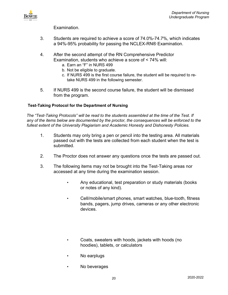

Examination.

- 3. Students are required to achieve a score of 74.0%-74.7%, which indicates a 94%-95% probability for passing the NCLEX-RN® Examination.
- 4. After the second attempt of the RN Comprehensive Predictor Examination, students who achieve a score of < 74% will:
	- a. Earn an "F" in NURS 499
	- b. Not be eligible to graduate.
	- c. If NURS 499 is the first course failure, the student will be required to retake NURS 499 in the following semester.
- 5. If NURS 499 is the second course failure, the student will be dismissed from the program.

#### **Test-Taking Protocol for the Department of Nursing**

*The "Test-Taking Protocols" will be read to the students assembled at the time of the Test. If any of the items below are documented by the proctor, the consequences will be enforced to the fullest extent of the University Plagiarism and Academic Honesty and Dishonesty Policies.* 

- 1. Students may only bring a pen or pencil into the testing area. All materials passed out with the tests are collected from each student when the test is submitted.
- 2. The Proctor does not answer any questions once the tests are passed out.
- 3. The following items may not be brought into the Test-Taking areas nor accessed at any time during the examination session.
	- Any educational, test preparation or study materials (books or notes of any kind).
	- Cell/mobile/smart phones, smart watches, blue-tooth, fitness bands, pagers, jump drives, cameras or any other electronic devices.
	- Coats, sweaters with hoods, jackets with hoods (no hoodies), tablets, or calculators
	- No earplugs
	- No beverages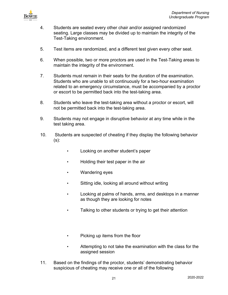

- 4. Students are seated every other chair and/or assigned randomized seating. Large classes may be divided up to maintain the integrity of the Test-Taking environment.
- 5. Test items are randomized, and a different test given every other seat.
- 6. When possible, two or more proctors are used in the Test-Taking areas to maintain the integrity of the environment.
- 7. Students must remain in their seats for the duration of the examination. Students who are unable to sit continuously for a two-hour examination related to an emergency circumstance, must be accompanied by a proctor or escort to be permitted back into the test-taking area.
- 8. Students who leave the test-taking area without a proctor or escort, will not be permitted back into the test-taking area.
- 9. Students may not engage in disruptive behavior at any time while in the test taking area.
- 10. Students are suspected of cheating if they display the following behavior  $(s)$ :
	- Looking on another student's paper
	- Holding their test paper in the air
	- Wandering eyes
	- Sitting idle, looking all around without writing
	- Looking at palms of hands, arms, and desktops in a manner as though they are looking for notes
	- Talking to other students or trying to get their attention
	- Picking up items from the floor
	- Attempting to not take the examination with the class for the assigned session
- 11. Based on the findings of the proctor, students' demonstrating behavior suspicious of cheating may receive one or all of the following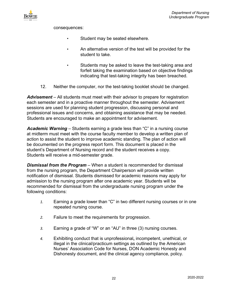

consequences:

- Student may be seated elsewhere.
- An alternative version of the test will be provided for the student to take.
- Students may be asked to leave the test-taking area and forfeit taking the examination based on objective findings indicating that test-taking integrity has been breached.
- 12. Neither the computer, nor the test-taking booklet should be changed.

*Advisement* – All students must meet with their advisor to prepare for registration each semester and in a proactive manner throughout the semester. Advisement sessions are used for planning student progression, discussing personal and professional issues and concerns, and obtaining assistance that may be needed. Students are encouraged to make an appointment for advisement.

*Academic Warning* – Students earning a grade less than "C" in a nursing course at midterm must meet with the course faculty member to develop a written plan of action to assist the student to improve academic standing. The plan of action will be documented on the progress report form. This document is placed in the student's Department of Nursing record and the student receives a copy. Students will receive a mid-semester grade.

*Dismissal from the Program* – When a student is recommended for dismissal from the nursing program, the Department Chairperson will provide written notification of dismissal. Students dismissed for academic reasons may apply for admission to the nursing program after one academic year. Students will be recommended for dismissal from the undergraduate nursing program under the following conditions:

- *1.* Earning a grade lower than "C" in two different nursing courses or in one repeated nursing course.
- *2.* Failure to meet the requirements for progression.
- *3.* Earning a grade of "W" or an "AU" in three (3) nursing courses.
- *4.* Exhibiting conduct that is unprofessional**,** incompetent, unethical, or illegal in the clinical/practicum settings as outlined by the American Nurses' Association Code for Nurses, DON Academic Honesty and Dishonesty document, and the clinical agency compliance, policy.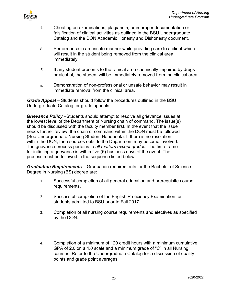

- *5.* Cheating on examinations, plagiarism, or improper documentation or falsification of clinical activities as outlined in the BSU Undergraduate Catalog and the DON Academic Honesty and Dishonesty document.
- *6.* Performance in an unsafe manner while providing care to a client which will result in the student being removed from the clinical area immediately.
- *7.* If any student presents to the clinical area chemically impaired by drugs or alcohol, the student will be immediately removed from the clinical area.
- *8.* Demonstration of non-professional or unsafe behavior may result in immediate removal from the clinical area.

**Grade Appeal** – Students should follow the procedures outlined in the BSU Undergraduate Catalog for grade appeals.

*Grievance Policy* –Students should attempt to resolve all grievance issues at the lowest level of the Department of Nursing chain of command. The issue(s) should be discussed with the faculty member first. In the event that the issue needs further review, the chain of command within the DON must be followed (See Undergraduate Nursing Student Handbook). If there is no resolution within the DON, then sources outside the Department may become involved. The grievance process pertains to *all matters except grades*. The time frame for initiating a grievance is within five (5) business days of the event. The process must be followed in the sequence listed below.

*Graduation Requirements* – Graduation requirements for the Bachelor of Science Degree in Nursing (BS) degree are:

- 1. Successful completion of all general education and prerequisite course requirements.
- 2. Successful completion of the English Proficiency Examination for students admitted to BSU prior to Fall 2017.
- 3. Completion of all nursing course requirements and electives as specified by the DON.
- 4. Completion of a minimum of 120 credit hours with a minimum cumulative GPA of 2.0 on a 4.0 scale and a minimum grade of "C" in all Nursing courses. Refer to the Undergraduate Catalog for a discussion of quality points and grade point averages.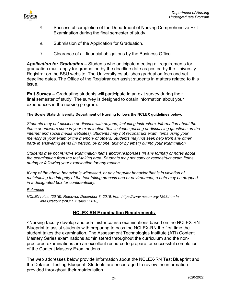

- 5. Successful completion of the Department of Nursing Comprehensive Exit Examination during the final semester of study.
- 6. Submission of the Application for Graduation.
- 7. Clearance of all financial obligations by the Business Office.

*Application for Graduation* **–** Students who anticipate meeting all requirements for graduation must apply for graduation by the deadline date as posted by the University Registrar on the BSU website. The University establishes graduation fees and set deadline dates. The Office of the Registrar can assist students in matters related to this issue.

**Exit Survey –** Graduating students will participate in an exit survey during their final semester of study. The survey is designed to obtain information about your experiences in the nursing program.

#### **The Bowie State University Department of Nursing follows the NCLEX guidelines below:**

*Students may not disclose or discuss with anyone, including instructors, information about the items or answers seen in your examination (this includes posting or discussing questions on the internet and social media websites). Students may not reconstruct exam items using your memory of your exam or the memory of others. Students may not seek help from any other party in answering items (in person, by phone, text or by email) during your examination.*

*Students may not remove examination items and/or responses (in any format) or notes about the examination from the test-taking area. Students may not copy or reconstruct exam items during or following your examination for any reason.*

*If any of the above behavior is witnessed, or any irregular behavior that is in violation of maintaining the integrity of the test-taking process and or environment, a note may be dropped in a designated box for confidentiality*.

#### *Reference*

*NCLEX rules. (2016). Retrieved December 8, 2016, from https:/[/www.ncsbn.org/1268.htm In](http://www.ncsbn.org/1268.htm)line Citation: ("NCLEX rules," 2016).* 

## **NCLEX-RN Examination Requirements**

<span id="page-23-0"></span><Nursing faculty develop and administer course examinations based on the NCLEX-RN Blueprint to assist students with preparing to pass the NCLEX-RN the first time the student takes the examination. The Assessment Technologies Institute (ATI) Content Mastery Series examinations administered throughout the curriculum and the nonproctored examinations are an excellent resource to prepare for successful completion of the Content Mastery Examinations.

The web addresses below provide information about the NCLEX-RN Test Blueprint and the Detailed Testing Blueprint. Students are encouraged to review the information provided throughout their matriculation.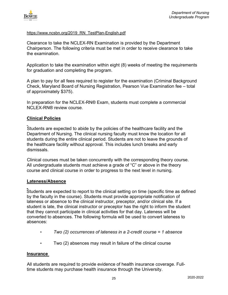

#### [https://www.ncsbn.org/2019\\_RN\\_TestPlan-English.pdf](https://www.ncsbn.org/2019_RN_TestPlan-English.pdf)

Clearance to take the NCLEX-RN Examination is provided by the Department Chairperson. The following criteria must be met in order to receive clearance to take the examination.

Application to take the examination within eight (8) weeks of meeting the requirements for graduation and completing the program.

A plan to pay for all fees required to register for the examination (Criminal Background Check, Maryland Board of Nursing Registration, Pearson Vue Examination fee – total of approximately \$375).

In preparation for the NCLEX-RN® Exam, students must complete a commercial NCLEX-RN® review course.

#### <span id="page-24-0"></span>**Clinical Policies**

 Students are expected to abide by the policies of the healthcare facility and the Department of Nursing. The clinical nursing faculty must know the location for all students during the entire clinical period. Students are not to leave the grounds of the healthcare facility without approval. This includes lunch breaks and early dismissals.

Clinical courses must be taken concurrently with the corresponding theory course. All undergraduate students must achieve a grade of "C" or above in the theory course and clinical course in order to progress to the next level in nursing.

#### <span id="page-24-1"></span>**Lateness/Absence**

 Students are expected to report to the clinical setting on time (specific time as defined by the faculty in the course). Students must provide appropriate notification of lateness or absence to the clinical instructor, preceptor, and/or clinical site. If a student is late, the clinical instructor or preceptor has the right to inform the student that they cannot participate in clinical activities for that day. Lateness will be converted to absences. The following formula will be used to convert lateness to absences:

- *Two (2) occurrences of lateness in a 2-credit course = 1 absence*
- Two (2) absences may result in failure of the clinical course

#### <span id="page-24-2"></span>**Insurance**

All students are required to provide evidence of health insurance coverage. Fulltime students may purchase health insurance through the University.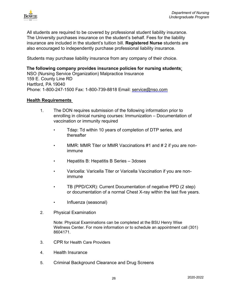

All students are required to be covered by professional student liability insurance. The University purchases insurance on the student's behalf. Fees for the liability insurance are included in the student's tuition bill. **Registered Nurse** students are also encouraged to independently purchase professional liability insurance.

Students may purchase liability insurance from any company of their choice.

**The following company provides insurance policies for nursing students**: NSO (Nursing Service Organization) Malpractice Insurance 159 E. County Line RD Hartford, PA 19040 Phone: 1-800-247-1500 Fax: 1-800-739-8818 Email: service@nso.com

#### <span id="page-25-0"></span>**Health Requirements**

- 1. The DON requires submission of the following information prior to enrolling in clinical nursing courses: Immunization – Documentation of vaccination or immunity required
	- Tdap: Td within 10 years of completion of DTP series, and thereafter
	- MMR: MMR Titer or MMR Vaccinations #1 and # 2 if you are nonimmune
	- Hepatitis B: Hepatitis B Series 3doses
	- Varicella: Varicella Titer or Varicella Vaccination if you are nonimmune
	- TB (PPD/CXR): Current Documentation of negative PPD (2 step) or documentation of a normal Chest X-ray within the last five years.
	- Influenza (seasonal)
- 2. Physical Examination

Note: Physical Examinations can be completed at the BSU Henry Wise Wellness Center. For more information or to schedule an appointment call (301) 8604171.

- 3. CPR for Health Care Providers
- 4. Health Insurance
- 5. Criminal Background Clearance and Drug Screens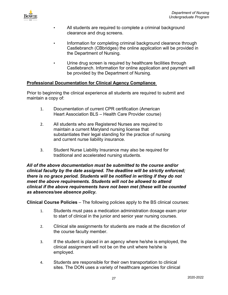

- All students are required to complete a criminal background clearance and drug screens.
- Information for completing criminal background clearance through Castlebranch (CBbridges) the online application will be provided in the Department of Nursing.
- Urine drug screen is required by healthcare facilities through Castlebranch. Information for online application and payment will be provided by the Department of Nursing.

## <span id="page-26-0"></span>**Professional Documentation for Clinical Agency Compliance**

Prior to beginning the clinical experience all students are required to submit and maintain a copy of:

- 1. Documentation of current CPR certification (American Heart Association BLS – Health Care Provider course)
- 2. All students who are Registered Nurses are required to maintain a current Maryland nursing license that substantiates their legal standing for the practice of nursing and current nurse liability insurance.
- 3. Student Nurse Liability Insurance may also be required for traditional and accelerated nursing students.

*All of the above documentation must be submitted to the course and/or clinical faculty by the date assigned. The deadline will be strictly enforced; there is no grace period. Students will be notified in writing if they do not meet the above requirements. Students will not be allowed to attend clinical if the above requirements have not been met (these will be counted as absences/see absence policy.* 

**Clinical Course Policies** – The following policies apply to the BS clinical courses:

- 1. Students must pass a medication administration dosage exam prior to start of clinical in the junior and senior year nursing courses.
- 2. Clinical site assignments for students are made at the discretion of the course faculty member.
- 3. If the student is placed in an agency where he/she is employed, the clinical assignment will not be on the unit where he/she is employed.
- 4. Students are responsible for their own transportation to clinical sites. The DON uses a variety of healthcare agencies for clinical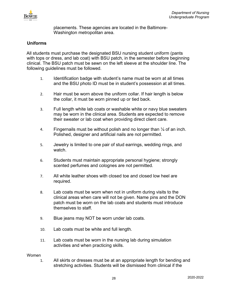

placements. These agencies are located in the Baltimore-Washington metropolitan area.

## <span id="page-27-0"></span>**Uniforms**

All students must purchase the designated BSU nursing student uniform (pants with tops or dress, and lab coat) with BSU patch, in the semester before beginning clinical. The BSU patch must be sewn on the left sleeve at the shoulder line. The following guidelines must be followed.

- 1. Identification badge with student's name must be worn at all times and the BSU photo ID must be in student's possession at all times.
- 2. Hair must be worn above the uniform collar. If hair length is below the collar, it must be worn pinned up or tied back.
- 3. Full length white lab coats or washable white or navy blue sweaters may be worn in the clinical area. Students are expected to remove their sweater or lab coat when providing direct client care.
- 4. Fingernails must be without polish and no longer than  $\frac{1}{4}$  of an inch. Polished, designer and artificial nails are not permitted.
- 5. Jewelry is limited to one pair of stud earrings, wedding rings, and watch.
- 6. Students must maintain appropriate personal hygiene; strongly scented perfumes and colognes are not permitted.
- 7. All white leather shoes with closed toe and closed low heel are required.
- 8. Lab coats must be worn when not in uniform during visits to the clinical areas when care will not be given. Name pins and the DON patch must be worn on the lab coats and students must introduce themselves to staff.
- 9. Blue jeans may NOT be worn under lab coats.
- 10. Lab coats must be white and full length.
- 11. Lab coats must be worn in the nursing lab during simulation activities and when practicing skills.

#### Women

1. All skirts or dresses must be at an appropriate length for bending and stretching activities. Students will be dismissed from clinical if the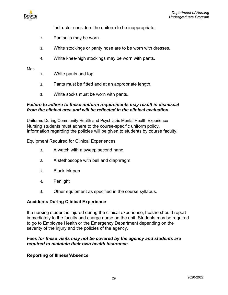

instructor considers the uniform to be inappropriate.

- 2. Pantsuits may be worn.
- 3. White stockings or panty hose are to be worn with dresses.
- 4. White knee-high stockings may be worn with pants.

#### Men

- 1. White pants and top.
- 2. Pants must be fitted and at an appropriate length.
- 3. White socks must be worn with pants.

#### *Failure to adhere to these uniform requirements may result in dismissal from the clinical area and will be reflected in the clinical evaluation.*

Uniforms During Community Health and Psychiatric Mental Health Experience Nursing students must adhere to the course-specific uniform policy. Information regarding the policies will be given to students by course faculty.

Equipment Required for Clinical Experiences

- *1.* A watch with a sweep second hand
- *2.* A stethoscope with bell and diaphragm
- *3.* Black ink pen
- *4.* Penlight
- *5.* Other equipment as specified in the course syllabus.

#### <span id="page-28-0"></span>**Accidents During Clinical Experience**

If a nursing student is injured during the clinical experience, he/she should report immediately to the faculty and charge nurse on the unit. Students may be required to go to Employee Health or the Emergency Department depending on the severity of the injury and the policies of the agency.

## *Fees for these visits may not be covered by the agency and students are required to maintain their own health insurance.*

#### <span id="page-28-1"></span>**Reporting of Illness/Absence**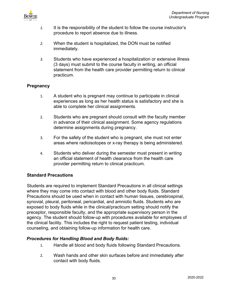

- *1.* It is the responsibility of the student to follow the course instructor's procedure to report absence due to illness.
- *2.* When the student is hospitalized, the DON must be notified immediately.
- *3.* Students who have experienced a hospitalization or extensive illness (3 days) must submit to the course faculty in writing, an official statement from the health care provider permitting return to clinical practicum.

## <span id="page-29-0"></span>**Pregnancy**

- 1. A student who is pregnant may continue to participate in clinical experiences as long as her health status is satisfactory and she is able to complete her clinical assignments.
- 2. Students who are pregnant should consult with the faculty member in advance of their clinical assignment. Some agency regulations determine assignments during pregnancy.
- 3. For the safety of the student who is pregnant, she must not enter areas where radioisotopes or x-ray therapy is being administered.
- 4. Students who deliver during the semester must present in writing an official statement of health clearance from the health care provider permitting return to clinical practicum.

## <span id="page-29-1"></span>**Standard Precautions**

Students are required to implement Standard Precautions in all clinical settings where they may come into contact with blood and other body fluids. Standard Precautions should be used when in contact with human tissues, cerebrospinal, synovial, pleural, peritoneal, pericardial, and amniotic fluids. Students who are exposed to body fluids while in the clinical/practicum setting should notify the preceptor, responsible faculty, and the appropriate supervisory person in the agency. The student should follow-up with procedures available for employees of the clinical facility. This includes the right to request patient testing, individual counseling, and obtaining follow-up information for health care.

## *Procedures for Handling Blood and Body fluids:*

- 1. Handle all blood and body fluids following Standard Precautions.
- 2. Wash hands and other skin surfaces before and immediately after contact with body fluids.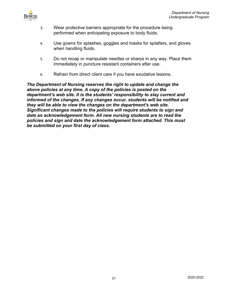

- 3. Wear protective barriers appropriate for the procedure being performed when anticipating exposure to body fluids.
- 4. Use gowns for splashes, goggles and masks for splatters, and gloves when handling fluids.
- 5. Do not recap or manipulate needles or sharps in any way. Place them immediately in puncture resistant containers after use.
- 6. Refrain from direct client care if you have exudative lesions*.*

*The Department of Nursing reserves the right to update and change the above policies at any time. A copy of the policies is posted on the department's web site. It is the students' responsibility to stay current and informed of the changes. If any changes occur, students will be notified and they will be able to view the changes on the department's web site. Significant changes made to the policies will require students to sign and date an acknowledgement form. All new nursing students are to read the policies and sign and date the acknowledgement form attached. This must be submitted on your first day of class.*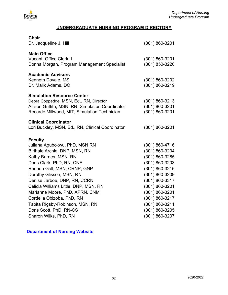

## **UNDERGRADUATE NURSING PROGRAM DIRECTORY**

<span id="page-31-0"></span>

| $(301) 860 - 3201$                                                                                                                                                                                                                             |
|------------------------------------------------------------------------------------------------------------------------------------------------------------------------------------------------------------------------------------------------|
| $(301) 860 - 3201$<br>(301) 850-3220                                                                                                                                                                                                           |
| $(301) 860 - 3202$<br>(301) 860-3219                                                                                                                                                                                                           |
| $(301) 860 - 3213$<br>(301) 860-3201<br>$(301) 860 - 3201$                                                                                                                                                                                     |
| $(301) 860 - 3201$                                                                                                                                                                                                                             |
| $(301) 860 - 4716$<br>(301) 860-3204<br>(301) 860-3285<br>(301) 860-3203<br>(301) 860-3216<br>$(301) 860 - 3209$<br>(301) 860-3317<br>(301) 860-3201<br>(301) 860-3201<br>(301) 860-3217<br>(301) 860-3211<br>(301) 860-3205<br>(301) 860-3207 |
|                                                                                                                                                                                                                                                |

**[Department of Nursing Website](https://www.bowiestate.edu/academics/colleges/college-of-professional-studies/departments/nursing/)**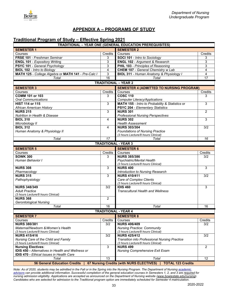<span id="page-32-0"></span>

## **APPENDIX A – PROGRAMS OF STUDY**

## <span id="page-32-1"></span>**Traditional Program of Study – Effective Spring 2021**

| .<br><b>TRADITIONAL - YEAR ONE (GENERAL EDUCATION PREREQUISITES)</b> |                |                                                                      |                  |  |
|----------------------------------------------------------------------|----------------|----------------------------------------------------------------------|------------------|--|
| <b>SEMESTER 1</b><br><b>SEMESTER 2</b>                               |                |                                                                      |                  |  |
| Courses                                                              | Credits        | Courses                                                              | Credits          |  |
| FRSE 101 - Freshman Seminar                                          | 3              | SOCI 101 - Intro to Sociology                                        | 3                |  |
| <b>ENGL 101 - Expository Writing</b>                                 | 3              | <b>ENGL 102 - Argument &amp; Research</b>                            | 3                |  |
| PSYC 101 - General Psychology                                        | 3              | PHIL 103 - Principles of Reasoning                                   | 3                |  |
| <b>BIOL 102 - Intro to Biology</b>                                   | $\overline{4}$ | <b>CHEM 107 - General Chemistry w Lab</b>                            | $\overline{4}$   |  |
| MATH 125 - College Algebra or MATH 141 - Pre-Calc I                  | 3              | BIOL 311 - Human Anatomy & Physiology I                              | 4                |  |
| Total                                                                | 16             | Total                                                                | $\overline{17}$  |  |
|                                                                      |                | <b>TRADITIONAL - YEAR 2</b>                                          |                  |  |
| <b>SEMESTER 3</b>                                                    |                | <b>SEMESTER 4 (ADMITTED TO NURSING PROGRAM)</b>                      |                  |  |
| Courses                                                              | Credits        | Courses                                                              | Credits          |  |
| <b>COMM 101 or 103</b>                                               | 3              | <b>COSC 110</b>                                                      | 3                |  |
|                                                                      |                |                                                                      |                  |  |
| <b>Oral Communications</b>                                           |                | <b>Computer Literacy/Applications</b>                                |                  |  |
| <b>HIST 114 or 115</b>                                               | $\overline{3}$ | MATH 155 - Intro to Probability & Statistics or                      | 3                |  |
| African American History                                             |                | <b>PSYC 204 - Elementary Statistics</b>                              |                  |  |
| <b>NURS 215</b>                                                      | $\overline{3}$ | <b>NURS 301</b>                                                      | $\overline{2}$   |  |
| Nutrition in Health & Disease                                        |                | <b>Professional Nursing Perspectives</b>                             |                  |  |
| <b>BIOL 310</b>                                                      | 4              | <b>NURS 302</b>                                                      | 3                |  |
| Microbiology II                                                      |                | <b>Health Assessment</b>                                             |                  |  |
| <b>BIOL 312</b>                                                      | 4              | <b>NURS 303/304</b>                                                  | $\overline{3/2}$ |  |
| Human Anatomy & Physiology II                                        |                | <b>Foundations of Nursing Practice</b>                               |                  |  |
|                                                                      |                | (3 hours Lecture/8 hours Clinical)                                   |                  |  |
| Total                                                                | 17             | Total                                                                | 16               |  |
|                                                                      |                | <b>TRADITIONAL - YEAR 3</b>                                          |                  |  |
| <b>SEMESTER 5</b>                                                    |                | <b>SEMESTER 6</b>                                                    |                  |  |
| Courses                                                              | Credits        | Courses                                                              | Credits          |  |
| <b>SOWK 300</b>                                                      | 3              | <b>NURS 385/386</b>                                                  | 3/2              |  |
| Human Behavior I                                                     |                | Psychiatric/Mental Health                                            |                  |  |
|                                                                      |                | (3 hours Lecture/8 hours Clinical)                                   |                  |  |
| <b>NURS 308</b>                                                      | 3              | <b>NURS 400</b>                                                      | 3                |  |
| Pharmacology                                                         |                | Introduction to Nursing Research                                     |                  |  |
| <b>NURS 315</b>                                                      | 3              | <b>NURS 410/411</b>                                                  | 3/2              |  |
| Pathophysiology                                                      |                | <b>Care of Complex Clients</b>                                       |                  |  |
|                                                                      |                | (3 hours Lecture/8 hours Clinical)                                   |                  |  |
| <b>NURS 348/349</b>                                                  | 3/2            | <b>IDIS 460</b>                                                      | 3                |  |
| <b>Adult Practice</b>                                                |                | <b>Transcultural Health and Wellness</b>                             |                  |  |
| (3 hours Lecture/8 hours Clinical)                                   |                |                                                                      |                  |  |
| <b>NURS 368</b>                                                      | $\overline{2}$ |                                                                      |                  |  |
| <b>Gerontological Nursing</b>                                        |                |                                                                      |                  |  |
| $\overline{T}$ otal                                                  | 16             | Total                                                                | 16               |  |
|                                                                      |                | <b>TRADITIONAL - YEAR 4</b>                                          |                  |  |
|                                                                      |                |                                                                      |                  |  |
| <b>SEMESTER 7</b>                                                    |                | <b>SEMESTER 8</b>                                                    |                  |  |
| Courses                                                              | Credits        | Courses                                                              | Credits          |  |
| <b>NURS 380/381</b>                                                  | 3/2            | <b>NURS 406/409</b>                                                  | 3/2              |  |
| Maternal/Newborn & Women's Health                                    |                | <b>Nursing Practice: Community</b>                                   |                  |  |
| (3 hours Lecture/8 hours Clinical)                                   |                | (3 hours Lecture/8 hours Clinical)                                   |                  |  |
| <b>NURS 415/416</b>                                                  | 3/2            | <b>NURS 425/412</b>                                                  | 3/2              |  |
| Nursing Care of the Child and Family                                 |                | <b>Transition into Professional Nursing Practice</b>                 |                  |  |
| (3 hours Lecture/8 hours Clinical)                                   |                | (3 hours Lecture/8 hours Clinical)                                   |                  |  |
| <b>Nursing Electives:</b>                                            | $\mathbf{3}$   | <b>NURS 499</b>                                                      | $\overline{2}$   |  |
| <b>IDIS 450 - Alternatives in Health and Wellness or</b>             |                | Nursing Comprehensive Exit Exam                                      |                  |  |
| <b>IDIS 470 - Ethical Issues in Health Care</b>                      |                |                                                                      |                  |  |
| Total                                                                | 13             | Total                                                                | 12               |  |
| <b>56 General Education Credits</b>                                  |                | 67 Nursing Credits (with NURS ELECTIVES)<br><b>TOTAL 123 Credits</b> |                  |  |

*Note: As of 2020, students may be admitted in the Fall or in the Spring into the Nursing Program. The Department of Nursing [academic](https://www.bowiestate.edu/academics/colleges/college-of-professional-studies/departments/nursing/undergraduate-program/program-requirements/advisement.php)  [advisors](https://www.bowiestate.edu/academics/colleges/college-of-professional-studies/departments/nursing/undergraduate-program/program-requirements/advisement.php) can provide additional information. Successful completion of the general education courses in Semesters 1, 2, and 3 are required for nursing admission eligibility. Applications are accepted as announced on the Department of Nursing website [\(www.bowiestate.edu/nursing\).](http://www.bowiestate.edu/nursing)  Candidates who are selected for admission to the Traditional program option are immediately scheduled for Semester 4 matriculation.*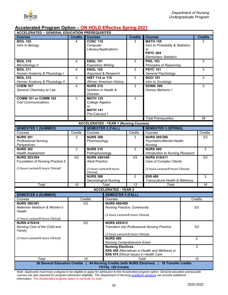

## <span id="page-33-0"></span>**Accelerated Program Option – ON HOLD Effective Spring 2021**

| <b>ACCELERATED - GENERAL EDUCATION PREREQUISITES</b>                                          |                |                                                                                    |                                                                |                       |                                                        |     |                 |
|-----------------------------------------------------------------------------------------------|----------------|------------------------------------------------------------------------------------|----------------------------------------------------------------|-----------------------|--------------------------------------------------------|-----|-----------------|
| <b>Courses</b>                                                                                | <b>Credits</b> | <b>Courses</b>                                                                     |                                                                | <b>Credits</b>        | <b>Courses</b>                                         |     | <b>Credits</b>  |
| <b>BIOL 102</b>                                                                               | 4              | <b>COSC 110</b>                                                                    |                                                                | 3                     | <b>MATH 155</b>                                        |     | 3               |
| Intro to Biology                                                                              |                | Computer                                                                           |                                                                |                       | Intro to Probability & Statistics                      |     |                 |
|                                                                                               |                | Literacy/Applications                                                              |                                                                |                       | or                                                     |     |                 |
|                                                                                               |                |                                                                                    |                                                                |                       | <b>PSYC 204</b>                                        |     |                 |
|                                                                                               |                |                                                                                    |                                                                |                       | <b>Elementary Statistics</b>                           |     |                 |
| <b>BIOL 310</b>                                                                               | 4              | <b>ENGL 101</b>                                                                    |                                                                | 3                     | <b>PHIL 103</b>                                        |     | 3               |
| Microbiology II                                                                               |                | <b>Expository Writing</b>                                                          |                                                                |                       | Principles of Reasoning                                |     |                 |
| <b>BIOL 311</b><br>Human Anatomy & Physiology I                                               | $\overline{4}$ | <b>ENGL 102</b>                                                                    | Argument & Research                                            | 3                     | <b>PSYC 101</b><br>General Psychology                  |     | 3               |
| <b>BIOL 312</b>                                                                               | $\overline{4}$ | <b>HIST 114 or 115</b>                                                             |                                                                | 3                     | <b>SOCI 101</b>                                        |     | 3               |
| Human Anatomy & Physiology II                                                                 |                |                                                                                    | African American History                                       |                       | Intro to Sociology                                     |     |                 |
| <b>CHEM 107</b>                                                                               | 4              | <b>NURS 215</b>                                                                    |                                                                | 3                     | <b>SOWK 300</b>                                        |     | 3               |
| General Chemistry w/ Lab                                                                      |                | <b>Nutrition in Health &amp;</b>                                                   |                                                                |                       | Human Behavior I                                       |     |                 |
|                                                                                               |                | Disease                                                                            |                                                                |                       |                                                        |     |                 |
| COMM 101 or COMM 103                                                                          | 3              | <b>MATH 125</b>                                                                    |                                                                | 3                     |                                                        |     |                 |
| <b>Oral Communications</b>                                                                    |                | College Algebra                                                                    |                                                                |                       |                                                        |     |                 |
|                                                                                               |                | or                                                                                 |                                                                |                       |                                                        |     |                 |
|                                                                                               |                | <b>MATH 141</b>                                                                    |                                                                |                       |                                                        |     |                 |
|                                                                                               |                | Pre-Calculus I                                                                     |                                                                |                       |                                                        |     |                 |
|                                                                                               |                |                                                                                    |                                                                |                       | <b>Total Prerequisites</b>                             |     | 56              |
|                                                                                               |                |                                                                                    | <b>ACCELERATED - YEAR 1 (Nursing Courses)</b>                  |                       |                                                        |     |                 |
| <b>SEMESTER 1 (SUMMER)</b>                                                                    |                | <b>SEMESTER 2 (FALL)</b>                                                           |                                                                |                       | <b>SEMESTER 3 (SPRING)</b>                             |     |                 |
| Courses                                                                                       | Credits        | Courses                                                                            |                                                                | $\overline{C}$ redits | Courses                                                |     | Credits         |
| <b>NURS 301</b>                                                                               | 2              | <b>NURS 308</b>                                                                    |                                                                | 3                     | <b>NURS 385/386</b>                                    |     | 3/2             |
| <b>Professional Nursing</b>                                                                   |                | Pharmacology                                                                       |                                                                |                       | Psychiatric/Mental Health                              |     |                 |
| Perspectives                                                                                  |                |                                                                                    |                                                                |                       | Nursing                                                |     |                 |
| <b>NURS 302</b>                                                                               | $\overline{3}$ | <b>NURS 315</b>                                                                    |                                                                | $\overline{3}$        | <b>NURS 400</b>                                        |     | 3               |
| <b>Health Assessment</b>                                                                      |                | Pathophysiology                                                                    |                                                                |                       | Introduction to Nursing Research                       |     |                 |
| <b>NURS 303/304</b>                                                                           | 3/2            | <b>NURS 348/349</b>                                                                |                                                                | 3/2                   | <b>NURS 410/411</b>                                    |     | 3/2             |
| Foundation of Nursing Practice II                                                             |                | <b>Adult Practice</b>                                                              | <b>Care of Complex Clients</b>                                 |                       |                                                        |     |                 |
| (3 hours Lecture/8 hours Clinical)                                                            |                |                                                                                    | (3 hours Lecture/8 hours<br>(3 hours Lecture/8 hours Clinical) |                       |                                                        |     |                 |
|                                                                                               |                | Clinical)                                                                          |                                                                |                       |                                                        |     |                 |
|                                                                                               |                | <b>NURS 368</b>                                                                    |                                                                | $\overline{2}$        | <b>IDIS 460</b>                                        |     | 3               |
|                                                                                               |                |                                                                                    | <b>Gerontological Nursing</b>                                  |                       | Transcultural Health & Wellness                        |     |                 |
| Total                                                                                         | 10             |                                                                                    | Total                                                          | 13                    | Total                                                  |     | $\overline{16}$ |
|                                                                                               |                |                                                                                    | <b>ACCELERATED - YEAR 2</b>                                    |                       |                                                        |     |                 |
| <b>SEMESTER 4 (SUMMER)</b>                                                                    |                |                                                                                    | <b>SEMESTER 5 (FALL)</b>                                       |                       |                                                        |     |                 |
| Courses                                                                                       |                | Credits                                                                            | Courses                                                        |                       |                                                        |     | Credits         |
| <b>NURS 380/381</b>                                                                           |                | 3/2                                                                                | <b>NURS 406/409</b>                                            |                       |                                                        |     |                 |
| Maternal- Newborn & Women's                                                                   |                |                                                                                    | <b>Nursing Practice: Community</b>                             |                       |                                                        |     | 3/2             |
| Health                                                                                        |                |                                                                                    |                                                                |                       |                                                        |     |                 |
|                                                                                               |                |                                                                                    | (3 hours Lecture/8 hours Clinical)                             |                       |                                                        |     |                 |
| (3 hours Lecture/8 hours Clinical)<br><b>NURS 415/416</b>                                     |                |                                                                                    |                                                                |                       |                                                        |     |                 |
| Nursing Care of the Child and                                                                 |                | 3/2<br><b>NURS 425/412</b><br><b>Transition into Professional Nursing Practice</b> |                                                                |                       |                                                        | 3/2 |                 |
| Family                                                                                        |                |                                                                                    |                                                                |                       |                                                        |     |                 |
|                                                                                               |                |                                                                                    | (3 hours Lecture/8 hours Clinical)                             |                       |                                                        |     |                 |
| (3 hours Lecture/8 hours Clinical)                                                            |                |                                                                                    | <b>NURS 499</b>                                                |                       |                                                        |     | $\overline{2}$  |
|                                                                                               |                |                                                                                    | <b>Nursing Comprehensive Exam</b>                              |                       |                                                        |     |                 |
|                                                                                               |                |                                                                                    | <b>Nursing Electives:</b>                                      |                       |                                                        |     | 3               |
|                                                                                               |                |                                                                                    |                                                                |                       | <b>IDIS 450 Alternatives in Health and Wellness or</b> |     |                 |
|                                                                                               |                |                                                                                    | <b>IDIS 470 Ethical Issues in Health Care</b>                  |                       |                                                        |     |                 |
| Total                                                                                         |                | 10                                                                                 |                                                                | Total                 |                                                        |     | 15              |
| 38 General Education Credits   64 Nursing Credits (with NURS Electives)   18 Transfer credits |                |                                                                                    |                                                                |                       |                                                        |     |                 |
|                                                                                               |                |                                                                                    | <b>TOTAL 120 Credits</b>                                       |                       |                                                        |     |                 |

*Note: Applicants must have a degree to be eligible to apply for admission to the Accelerated program option. General education prerequisite courses are also required for program admission eligibility. The Department of Nursin[g academic advisors](https://www.bowiestate.edu/academics/colleges/college-of-professional-studies/departments/nursing/undergraduate-program/program-requirements/advisement.php) can provide additional information. The Accelerated program option is currently on hold.*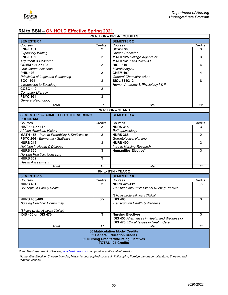

## <span id="page-34-0"></span>**RN to BSN – ON HOLD Effective Spring 2021**

| <b>RN to BSN - PRE-REQUISITES</b>               |                |                                                        |                |  |  |
|-------------------------------------------------|----------------|--------------------------------------------------------|----------------|--|--|
| <b>SEMESTER 1</b><br><b>SEMESTER 2</b>          |                |                                                        |                |  |  |
| Courses                                         | Credits        | Courses                                                | Credits        |  |  |
| <b>ENGL 101</b>                                 | 3              | <b>SOWK 300</b>                                        | 3              |  |  |
| <b>Expository Writing</b>                       |                | Human Behavior I                                       |                |  |  |
| <b>ENGL 102</b>                                 | 3              | MATH 125 College Algebra or                            | 3              |  |  |
| Argument & Research                             |                | <b>MATH 141 Pre-Calculus I</b>                         |                |  |  |
| <b>COMM 101 or 103</b>                          | $\overline{3}$ | <b>BIOL 310</b>                                        | 4              |  |  |
| <b>Oral Communications</b>                      |                | Microbiology II                                        |                |  |  |
| <b>PHIL 103</b>                                 | 3              | <b>CHEM 107</b>                                        | 4              |  |  |
| Principles of Logic and Reasoning               |                | General Chemistry w/Lab                                |                |  |  |
| <b>SOCI 101</b>                                 | $\overline{3}$ | <b>BIOL 311/312</b>                                    | 8              |  |  |
| Introduction to Sociology                       |                | Human Anatomy & Physiology I & II                      |                |  |  |
| <b>COSC 110</b>                                 | 3              |                                                        |                |  |  |
|                                                 |                |                                                        |                |  |  |
| Computer Literacy<br><b>PSYC 101</b>            |                |                                                        |                |  |  |
|                                                 | 3              |                                                        |                |  |  |
| General Psychology                              |                |                                                        |                |  |  |
| Total                                           | 21             | Total                                                  | 22             |  |  |
|                                                 |                | RN to BSN - YEAR 1                                     |                |  |  |
| <b>SEMESTER 3 - ADMITTED TO THE NURSING</b>     |                | <b>SEMESTER 4</b>                                      |                |  |  |
| <b>PROGRAM</b>                                  |                |                                                        |                |  |  |
| Courses                                         | Credits        | Courses                                                | Credits        |  |  |
| <b>HIST 114 or 115</b>                          | 3              | <b>NURS 315</b>                                        | 3              |  |  |
| African-American History                        |                | Pathophysiology                                        |                |  |  |
| MATH 155 - Intro to Probability & Statistics or | $\overline{3}$ | <b>NURS 368</b>                                        | $\overline{2}$ |  |  |
| <b>PSYC 204 - Elementary Statistics</b>         |                | <b>Gerontological Nursing</b>                          |                |  |  |
| <b>NURS 215</b>                                 | 3              | <b>NURS 400</b>                                        | 3              |  |  |
| <b>Nutrition in Health &amp; Disease</b>        |                | Intro to Nursing Research                              |                |  |  |
| <b>NURS 350</b>                                 | $\overline{3}$ | <b>Humanities Elective*</b>                            | 3              |  |  |
| <b>Nursing Practice: Concepts</b>               |                |                                                        |                |  |  |
| <b>NURS 302</b>                                 | 3              |                                                        |                |  |  |
| <b>Health Assessment</b>                        |                |                                                        |                |  |  |
| <b>Total</b>                                    | 15             | <b>Total</b>                                           | 11             |  |  |
|                                                 |                |                                                        |                |  |  |
|                                                 |                | RN to BSN - YEAR 2                                     |                |  |  |
| <b>SEMESTER 5</b>                               |                | <b>SEMESTER 6</b>                                      |                |  |  |
| Courses                                         | Credits        | Courses                                                | Credits        |  |  |
| <b>NURS 401</b>                                 | 3              | <b>NURS 425/412</b>                                    | 3/2            |  |  |
| <b>Concepts in Family Health</b>                |                | <b>Transition into Professional Nursing Practice</b>   |                |  |  |
|                                                 |                |                                                        |                |  |  |
|                                                 |                | (3 hours Lecture/8 hours Clinical)                     |                |  |  |
| <b>NURS 406/409</b>                             | 3/2            | <b>IDIS 460</b>                                        | 3              |  |  |
| <b>Nursing Practice: Community</b>              |                | <b>Transcultural Health &amp; Wellness</b>             |                |  |  |
|                                                 |                |                                                        |                |  |  |
| (3 hours Lecture/8 hours Clinical)              |                |                                                        |                |  |  |
| IDIS 450 or IDIS 470                            | 3              | <b>Nursing Electives:</b>                              | 3              |  |  |
|                                                 |                | <b>IDIS 450</b> Alternatives in Health and Wellness or |                |  |  |
|                                                 |                | <b>IDIS 470 Ethical Issues in Health Care</b>          |                |  |  |
| Total                                           | 11             | Total                                                  | 11             |  |  |
|                                                 |                | <b>30 Matriculation Model Credits</b>                  |                |  |  |
| <b>52 General Education Credits</b>             |                |                                                        |                |  |  |
|                                                 |                | <b>39 Nursing Credits w/Nursing Electives</b>          |                |  |  |
|                                                 |                | <b>TOTAL 121 Credits</b>                               |                |  |  |
|                                                 |                |                                                        |                |  |  |

*Note: The Department of Nursin[g academic advisors](https://www.bowiestate.edu/academics/colleges/college-of-professional-studies/departments/nursing/undergraduate-program/program-requirements/advisement.php) can provide additional information.* 

*\* Humanities Elective: Choose from Art, Music (except applied courses), Philosophy, Foreign Language, Literature, Theatre, and Communications*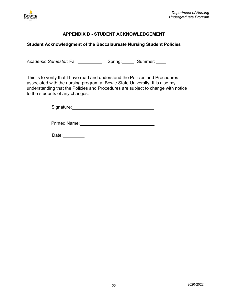

## **APPENDIX B - STUDENT ACKNOWLEDGEMENT**

## <span id="page-35-1"></span><span id="page-35-0"></span>**Student Acknowledgment of the Baccalaureate Nursing Student Policies**

Academic Semester: Fall: Spring: Spring: Summer:

This is to verify that I have read and understand the Policies and Procedures associated with the nursing program at Bowie State University. It is also my understanding that the Policies and Procedures are subject to change with notice to the students of any changes.

Signature: Management Control of the Signature:

Printed Name:

Date: 1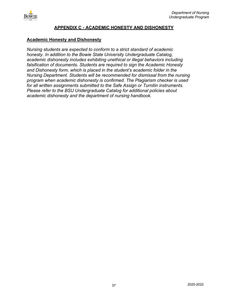

## **APPENDIX C - ACADEMIC HONESTY AND DISHONESTY**

#### <span id="page-36-1"></span><span id="page-36-0"></span>**Academic Honesty and Dishonesty**

*Nursing students are expected to conform to a strict standard of academic honesty. In addition to the Bowie State University Undergraduate Catalog, academic dishonesty includes exhibiting unethical or illegal behaviors including falsification of documents. Students are required to sign the Academic Honesty and Dishonesty form, which is placed in the student's academic folder in the Nursing Department. Students will be recommended for dismissal from the nursing program when academic dishonesty is confirmed. The Plagiarism checker is used for all written assignments submitted to the Safe Assign or Turnitin instruments. Please refer to the BSU Undergraduate Catalog for additional policies about academic dishonesty and the department of nursing handbook.*